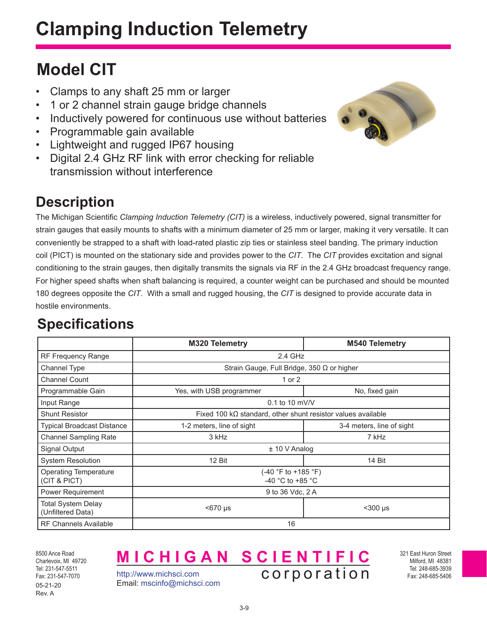# **Clamping Induction Telemetry**

### **Model CIT**

- Clamps to any shaft 25 mm or larger
- 1 or 2 channel strain gauge bridge channels
- Inductively powered for continuous use without batteries
- Programmable gain available
- Lightweight and rugged IP67 housing
- Digital 2.4 GHz RF link with error checking for reliable transmission without interference

#### **Description**

The Michigan Scientific *Clamping Induction Telemetry (CIT)* is a wireless, inductively powered, signal transmitter for strain gauges that easily mounts to shafts with a minimum diameter of 25 mm or larger, making it very versatile. It can conveniently be strapped to a shaft with load-rated plastic zip ties or stainless steel banding. The primary induction coil (PICT) is mounted on the stationary side and provides power to the *CIT*. The *CIT* provides excitation and signal conditioning to the strain gauges, then digitally transmits the signals via RF in the 2.4 GHz broadcast frequency range. For higher speed shafts when shaft balancing is required, a counter weight can be purchased and should be mounted 180 degrees opposite the *CIT*. With a small and rugged housing, the *CIT* is designed to provide accurate data in hostile environments.

#### **Specifications**

|                                                | M320 Telemetry                                                      | <b>M540 Telemetry</b>     |
|------------------------------------------------|---------------------------------------------------------------------|---------------------------|
| RF Frequency Range                             | 2.4 GHz                                                             |                           |
| Channel Type                                   | Strain Gauge, Full Bridge, 350 $\Omega$ or higher                   |                           |
| <b>Channel Count</b>                           | 1 or 2                                                              |                           |
| Programmable Gain                              | Yes, with USB programmer                                            | No, fixed gain            |
| Input Range                                    | $0.1$ to 10 mV/V                                                    |                           |
| <b>Shunt Resistor</b>                          | Fixed 100 $k\Omega$ standard, other shunt resistor values available |                           |
| Typical Broadcast Distance                     | 1-2 meters, line of sight                                           | 3-4 meters, line of sight |
| <b>Channel Sampling Rate</b>                   | 3 kHz                                                               | 7 kHz                     |
| <b>Signal Output</b>                           | $± 10 V$ Analog                                                     |                           |
| <b>System Resolution</b>                       | 12 Bit                                                              | 14 Bit                    |
| <b>Operating Temperature</b><br>(CIT & PICT)   | (-40 °F to +185 °F)<br>-40 $^{\circ}$ C to +85 $^{\circ}$ C         |                           |
| Power Requirement                              | 9 to 36 Vdc, 2 A                                                    |                           |
| <b>Total System Delay</b><br>(Unfiltered Data) | <670 µs                                                             | $300$ µs                  |
| <b>RF Channels Available</b>                   | 16                                                                  |                           |

8500 Ance Road Charlevoix, MI 49720 Tel: 231-547-5511 Fax: 231-547-7070 05-21-20 Rev. A

http://www.michsci.com Email: mscinfo@michsci.com

**MICHIGAN SCIENTIFIC** corporation

321 East Huron Street Milford, MI 48381 Tel: 248-685-3939 Fax: 248-685-5406